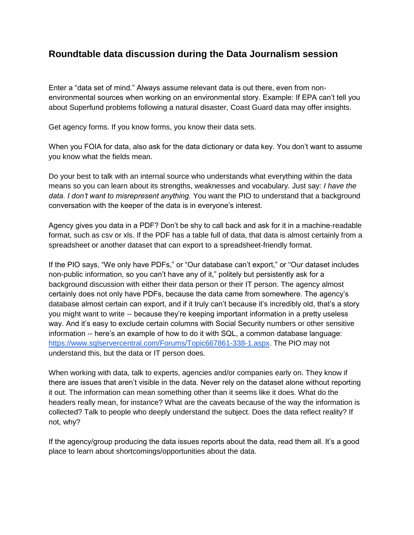## **Roundtable data discussion during the Data Journalism session**

Enter a "data set of mind." Always assume relevant data is out there, even from nonenvironmental sources when working on an environmental story. Example: If EPA can't tell you about Superfund problems following a natural disaster, Coast Guard data may offer insights.

Get agency forms. If you know forms, you know their data sets.

When you FOIA for data, also ask for the data dictionary or data key. You don't want to assume you know what the fields mean.

Do your best to talk with an internal source who understands what everything within the data means so you can learn about its strengths, weaknesses and vocabulary. Just say: *I have the data. I don't want to misrepresent anything.* You want the PIO to understand that a background conversation with the keeper of the data is in everyone's interest.

Agency gives you data in a PDF? Don't be shy to call back and ask for it in a machine-readable format, such as csv or xls. If the PDF has a table full of data, that data is almost certainly from a spreadsheet or another dataset that can export to a spreadsheet-friendly format.

If the PIO says, "We only have PDFs," or "Our database can't export," or "Our dataset includes non-public information, so you can't have any of it," politely but persistently ask for a background discussion with either their data person or their IT person. The agency almost certainly does not only have PDFs, because the data came from somewhere. The agency's database almost certain can export, and if it truly can't because it's incredibly old, that's a story you might want to write -- because they're keeping important information in a pretty useless way. And it's easy to exclude certain columns with Social Security numbers or other sensitive information -- here's an example of how to do it with SQL, a common database language: [https://www.sqlservercentral.com/Forums/Topic667861-338-1.aspx.](https://www.sqlservercentral.com/Forums/Topic667861-338-1.aspx) The PIO may not understand this, but the data or IT person does.

When working with data, talk to experts, agencies and/or companies early on. They know if there are issues that aren't visible in the data. Never rely on the dataset alone without reporting it out. The information can mean something other than it seems like it does. What do the headers really mean, for instance? What are the caveats because of the way the information is collected? Talk to people who deeply understand the subject. Does the data reflect reality? If not, why?

If the agency/group producing the data issues reports about the data, read them all. It's a good place to learn about shortcomings/opportunities about the data.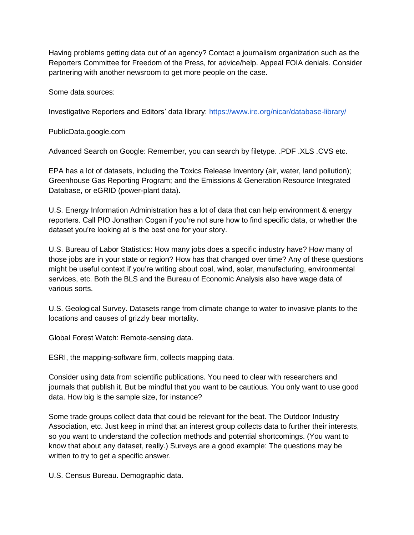Having problems getting data out of an agency? Contact a journalism organization such as the Reporters Committee for Freedom of the Press, for advice/help. Appeal FOIA denials. Consider partnering with another newsroom to get more people on the case.

Some data sources:

Investigative Reporters and Editors' data library:<https://www.ire.org/nicar/database-library/>

PublicData.google.com

Advanced Search on Google: Remember, you can search by filetype. .PDF .XLS .CVS etc.

EPA has a lot of datasets, including the Toxics Release Inventory (air, water, land pollution); Greenhouse Gas Reporting Program; and the Emissions & Generation Resource Integrated Database, or eGRID (power-plant data).

U.S. Energy Information Administration has a lot of data that can help environment & energy reporters. Call PIO Jonathan Cogan if you're not sure how to find specific data, or whether the dataset you're looking at is the best one for your story.

U.S. Bureau of Labor Statistics: How many jobs does a specific industry have? How many of those jobs are in your state or region? How has that changed over time? Any of these questions might be useful context if you're writing about coal, wind, solar, manufacturing, environmental services, etc. Both the BLS and the Bureau of Economic Analysis also have wage data of various sorts.

U.S. Geological Survey. Datasets range from climate change to water to invasive plants to the locations and causes of grizzly bear mortality.

Global Forest Watch: Remote-sensing data.

ESRI, the mapping-software firm, collects mapping data.

Consider using data from scientific publications. You need to clear with researchers and journals that publish it. But be mindful that you want to be cautious. You only want to use good data. How big is the sample size, for instance?

Some trade groups collect data that could be relevant for the beat. The Outdoor Industry Association, etc. Just keep in mind that an interest group collects data to further their interests, so you want to understand the collection methods and potential shortcomings. (You want to know that about any dataset, really.) Surveys are a good example: The questions may be written to try to get a specific answer.

U.S. Census Bureau. Demographic data.